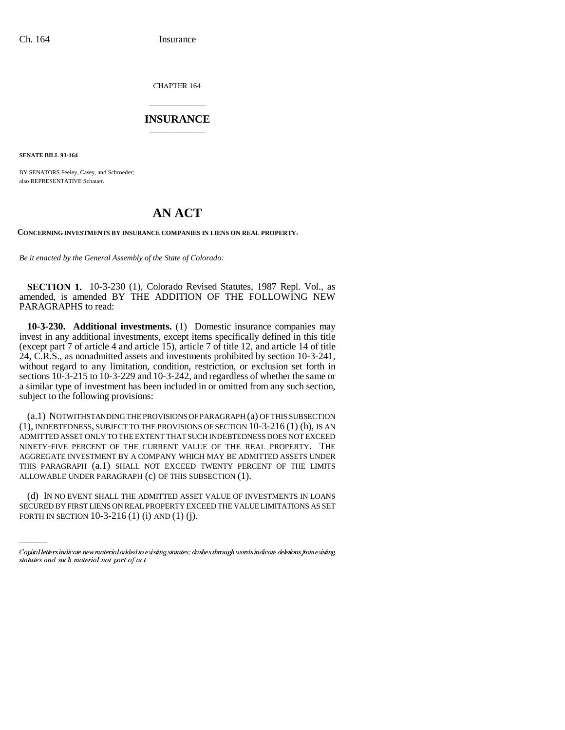CHAPTER 164

## \_\_\_\_\_\_\_\_\_\_\_\_\_\_\_ **INSURANCE** \_\_\_\_\_\_\_\_\_\_\_\_\_\_\_

**SENATE BILL 93-164**

BY SENATORS Feeley, Casey, and Schroeder; also REPRESENTATIVE Schauer.

## **AN ACT**

**CONCERNING INVESTMENTS BY INSURANCE COMPANIES IN LIENS ON REAL PROPERTY.**

*Be it enacted by the General Assembly of the State of Colorado:*

**SECTION 1.** 10-3-230 (1), Colorado Revised Statutes, 1987 Repl. Vol., as amended, is amended BY THE ADDITION OF THE FOLLOWING NEW PARAGRAPHS to read:

**10-3-230. Additional investments.** (1) Domestic insurance companies may invest in any additional investments, except items specifically defined in this title (except part 7 of article 4 and article 15), article 7 of title 12, and article 14 of title 24, C.R.S., as nonadmitted assets and investments prohibited by section 10-3-241, without regard to any limitation, condition, restriction, or exclusion set forth in sections 10-3-215 to 10-3-229 and 10-3-242, and regardless of whether the same or a similar type of investment has been included in or omitted from any such section, subject to the following provisions:

ALLOWABLE UNDER PARAGRAPH (c) OF THIS SUBSECTION (1). (a.1) NOTWITHSTANDING THE PROVISIONS OF PARAGRAPH (a) OF THIS SUBSECTION (1), INDEBTEDNESS, SUBJECT TO THE PROVISIONS OF SECTION 10-3-216 (1) (h), IS AN ADMITTED ASSET ONLY TO THE EXTENT THAT SUCH INDEBTEDNESS DOES NOT EXCEED NINETY-FIVE PERCENT OF THE CURRENT VALUE OF THE REAL PROPERTY. THE AGGREGATE INVESTMENT BY A COMPANY WHICH MAY BE ADMITTED ASSETS UNDER THIS PARAGRAPH (a.1) SHALL NOT EXCEED TWENTY PERCENT OF THE LIMITS

(d) IN NO EVENT SHALL THE ADMITTED ASSET VALUE OF INVESTMENTS IN LOANS SECURED BY FIRST LIENS ON REAL PROPERTY EXCEED THE VALUE LIMITATIONS AS SET FORTH IN SECTION 10-3-216 (1) (i) AND (1) (j).

Capital letters indicate new material added to existing statutes; dashes through words indicate deletions from existing statutes and such material not part of act.